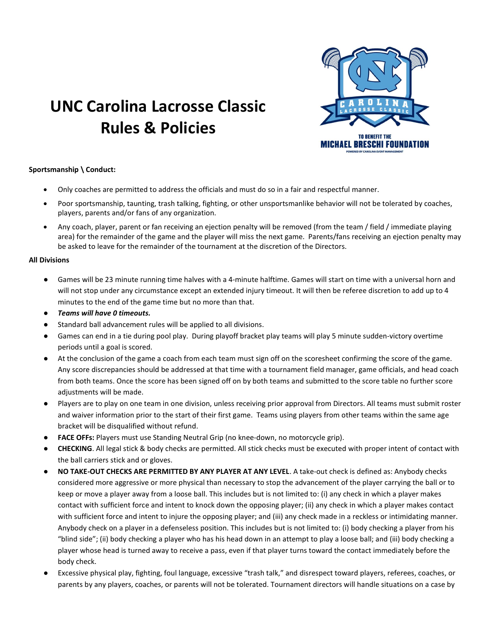

# UNC Carolina Lacrosse Classic Rules & Policies

#### Sportsmanship \ Conduct:

- Only coaches are permitted to address the officials and must do so in a fair and respectful manner.
- Poor sportsmanship, taunting, trash talking, fighting, or other unsportsmanlike behavior will not be tolerated by coaches, players, parents and/or fans of any organization.
- Any coach, player, parent or fan receiving an ejection penalty will be removed (from the team / field / immediate playing area) for the remainder of the game and the player will miss the next game. Parents/fans receiving an ejection penalty may be asked to leave for the remainder of the tournament at the discretion of the Directors.

#### All Divisions

- Games will be 23 minute running time halves with a 4-minute halftime. Games will start on time with a universal horn and will not stop under any circumstance except an extended injury timeout. It will then be referee discretion to add up to 4 minutes to the end of the game time but no more than that.
- Teams will have 0 timeouts.
- Standard ball advancement rules will be applied to all divisions.
- Games can end in a tie during pool play. During playoff bracket play teams will play 5 minute sudden-victory overtime periods until a goal is scored.
- At the conclusion of the game a coach from each team must sign off on the scoresheet confirming the score of the game. Any score discrepancies should be addressed at that time with a tournament field manager, game officials, and head coach from both teams. Once the score has been signed off on by both teams and submitted to the score table no further score adjustments will be made.
- Players are to play on one team in one division, unless receiving prior approval from Directors. All teams must submit roster and waiver information prior to the start of their first game. Teams using players from other teams within the same age bracket will be disqualified without refund.
- FACE OFFs: Players must use Standing Neutral Grip (no knee-down, no motorcycle grip).
- CHECKING. All legal stick & body checks are permitted. All stick checks must be executed with proper intent of contact with the ball carriers stick and or gloves.
- NO TAKE-OUT CHECKS ARE PERMITTED BY ANY PLAYER AT ANY LEVEL. A take-out check is defined as: Anybody checks considered more aggressive or more physical than necessary to stop the advancement of the player carrying the ball or to keep or move a player away from a loose ball. This includes but is not limited to: (i) any check in which a player makes contact with sufficient force and intent to knock down the opposing player; (ii) any check in which a player makes contact with sufficient force and intent to injure the opposing player; and (iii) any check made in a reckless or intimidating manner. Anybody check on a player in a defenseless position. This includes but is not limited to: (i) body checking a player from his "blind side"; (ii) body checking a player who has his head down in an attempt to play a loose ball; and (iii) body checking a player whose head is turned away to receive a pass, even if that player turns toward the contact immediately before the body check.
- Excessive physical play, fighting, foul language, excessive "trash talk," and disrespect toward players, referees, coaches, or parents by any players, coaches, or parents will not be tolerated. Tournament directors will handle situations on a case by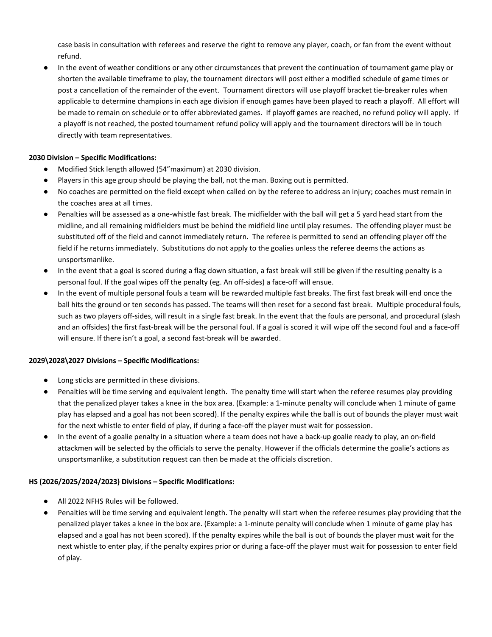case basis in consultation with referees and reserve the right to remove any player, coach, or fan from the event without refund.

In the event of weather conditions or any other circumstances that prevent the continuation of tournament game play or shorten the available timeframe to play, the tournament directors will post either a modified schedule of game times or post a cancellation of the remainder of the event. Tournament directors will use playoff bracket tie-breaker rules when applicable to determine champions in each age division if enough games have been played to reach a playoff. All effort will be made to remain on schedule or to offer abbreviated games. If playoff games are reached, no refund policy will apply. If a playoff is not reached, the posted tournament refund policy will apply and the tournament directors will be in touch directly with team representatives.

### 2030 Division – Specific Modifications:

- Modified Stick length allowed (54"maximum) at 2030 division.
- Players in this age group should be playing the ball, not the man. Boxing out is permitted.
- No coaches are permitted on the field except when called on by the referee to address an injury; coaches must remain in the coaches area at all times.
- Penalties will be assessed as a one-whistle fast break. The midfielder with the ball will get a 5 yard head start from the midline, and all remaining midfielders must be behind the midfield line until play resumes. The offending player must be substituted off of the field and cannot immediately return. The referee is permitted to send an offending player off the field if he returns immediately. Substitutions do not apply to the goalies unless the referee deems the actions as unsportsmanlike.
- In the event that a goal is scored during a flag down situation, a fast break will still be given if the resulting penalty is a personal foul. If the goal wipes off the penalty (eg. An off-sides) a face-off will ensue.
- In the event of multiple personal fouls a team will be rewarded multiple fast breaks. The first fast break will end once the ball hits the ground or ten seconds has passed. The teams will then reset for a second fast break. Multiple procedural fouls, such as two players off-sides, will result in a single fast break. In the event that the fouls are personal, and procedural (slash and an offsides) the first fast-break will be the personal foul. If a goal is scored it will wipe off the second foul and a face-off will ensure. If there isn't a goal, a second fast-break will be awarded.

#### 2029\2028\2027 Divisions – Specific Modifications:

- Long sticks are permitted in these divisions.
- Penalties will be time serving and equivalent length. The penalty time will start when the referee resumes play providing that the penalized player takes a knee in the box area. (Example: a 1-minute penalty will conclude when 1 minute of game play has elapsed and a goal has not been scored). If the penalty expires while the ball is out of bounds the player must wait for the next whistle to enter field of play, if during a face-off the player must wait for possession.
- In the event of a goalie penalty in a situation where a team does not have a back-up goalie ready to play, an on-field attackmen will be selected by the officials to serve the penalty. However if the officials determine the goalie's actions as unsportsmanlike, a substitution request can then be made at the officials discretion.

#### HS (2026/2025/2024/2023) Divisions – Specific Modifications:

- All 2022 NFHS Rules will be followed.
- Penalties will be time serving and equivalent length. The penalty will start when the referee resumes play providing that the penalized player takes a knee in the box are. (Example: a 1-minute penalty will conclude when 1 minute of game play has elapsed and a goal has not been scored). If the penalty expires while the ball is out of bounds the player must wait for the next whistle to enter play, if the penalty expires prior or during a face-off the player must wait for possession to enter field of play.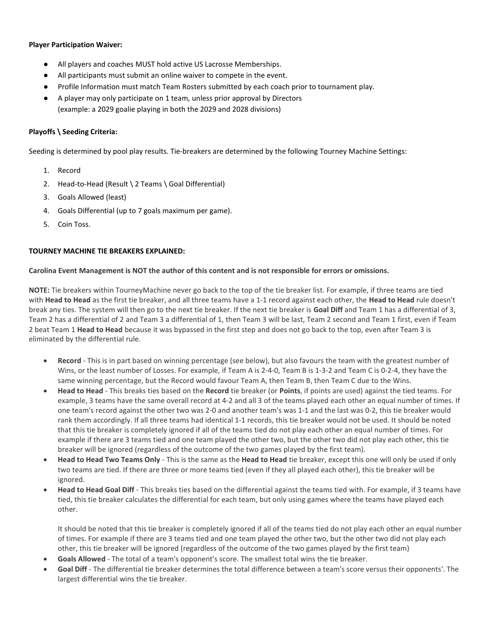#### Player Participation Waiver:

- All players and coaches MUST hold active US Lacrosse Memberships.
- All participants must submit an online waiver to compete in the event.
- Profile Information must match Team Rosters submitted by each coach prior to tournament play.
- A player may only participate on 1 team, unless prior approval by Directors (example: a 2029 goalie playing in both the 2029 and 2028 divisions)

#### Playoffs \ Seeding Criteria:

Seeding is determined by pool play results. Tie-breakers are determined by the following Tourney Machine Settings:

- 1. Record
- 2. Head-to-Head (Result \ 2 Teams \ Goal Differential)
- 3. Goals Allowed (least)
- 4. Goals Differential (up to 7 goals maximum per game).
- 5. Coin Toss.

#### TOURNEY MACHINE TIE BREAKERS EXPLAINED:

#### Carolina Event Management is NOT the author of this content and is not responsible for errors or omissions.

NOTE: Tie breakers within TourneyMachine never go back to the top of the tie breaker list. For example, if three teams are tied with Head to Head as the first tie breaker, and all three teams have a 1-1 record against each other, the Head to Head rule doesn't break any ties. The system will then go to the next tie breaker. If the next tie breaker is Goal Diff and Team 1 has a differential of 3, Team 2 has a differential of 2 and Team 3 a differential of 1, then Team 3 will be last, Team 2 second and Team 1 first, even if Team 2 beat Team 1 Head to Head because it was bypassed in the first step and does not go back to the top, even after Team 3 is eliminated by the differential rule.

- Record This is in part based on winning percentage (see below), but also favours the team with the greatest number of Wins, or the least number of Losses. For example, if Team A is 2-4-0, Team B is 1-3-2 and Team C is 0-2-4, they have the same winning percentage, but the Record would favour Team A, then Team B, then Team C due to the Wins.
- Head to Head This breaks ties based on the Record tie breaker (or Points, if points are used) against the tied teams. For example, 3 teams have the same overall record at 4-2 and all 3 of the teams played each other an equal number of times. If one team's record against the other two was 2-0 and another team's was 1-1 and the last was 0-2, this tie breaker would rank them accordingly. If all three teams had identical 1-1 records, this tie breaker would not be used. It should be noted that this tie breaker is completely ignored if all of the teams tied do not play each other an equal number of times. For example if there are 3 teams tied and one team played the other two, but the other two did not play each other, this tie breaker will be ignored (regardless of the outcome of the two games played by the first team).
- Head to Head Two Teams Only This is the same as the Head to Head tie breaker, except this one will only be used if only two teams are tied. If there are three or more teams tied (even if they all played each other), this tie breaker will be ignored.
- Head to Head Goal Diff This breaks ties based on the differential against the teams tied with. For example, if 3 teams have tied, this tie breaker calculates the differential for each team, but only using games where the teams have played each other.

It should be noted that this tie breaker is completely ignored if all of the teams tied do not play each other an equal number of times. For example if there are 3 teams tied and one team played the other two, but the other two did not play each other, this tie breaker will be ignored (regardless of the outcome of the two games played by the first team)

- Goals Allowed The total of a team's opponent's score. The smallest total wins the tie breaker.
- Goal Diff The differential tie breaker determines the total difference between a team's score versus their opponents'. The largest differential wins the tie breaker.